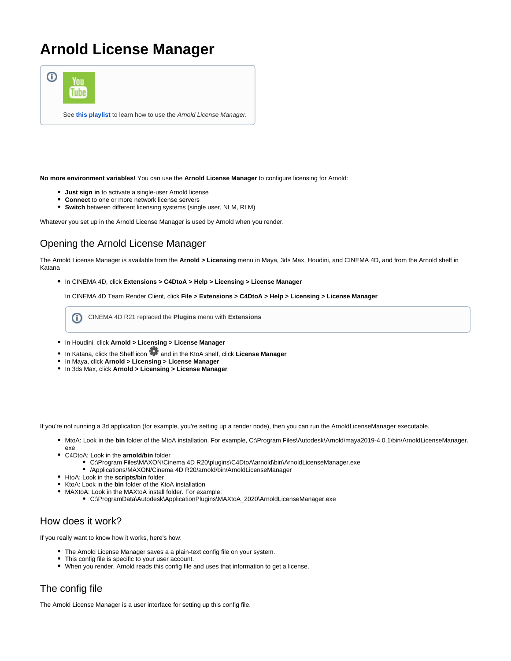## **Arnold License Manager**



**No more environment variables!** You can use the **Arnold License Manager** to configure licensing for Arnold:

- **Just sign in** to activate a single-user Arnold license
- **Connect** to one or more network license servers
- **Switch** between different licensing systems (single user, NLM, RLM)

Whatever you set up in the Arnold License Manager is used by Arnold when you render.

## Opening the Arnold License Manager

The Arnold License Manager is available from the **Arnold > Licensing** menu in Maya, 3ds Max, Houdini, and CINEMA 4D, and from the Arnold shelf in Katana

In CINEMA 4D, click **Extensions > C4DtoA > Help > Licensing > License Manager**

In CINEMA 4D Team Render Client, click **File > Extensions > C4DtoA > Help > Licensing > License Manager**

CINEMA 4D R21 replaced the **Plugins** menu with **Extensions**(i)

- In Houdini, click **Arnold > Licensing > License Manager**
- In Katana, click the Shelf icon **19** and in the KtoA shelf, click License Manager
- In Maya, click **Arnold > Licensing > License Manager**
- In 3ds Max, click **Arnold > Licensing > License Manager**

If you're not running a 3d application (for example, you're setting up a render node), then you can run the ArnoldLicenseManager executable.

- MtoA: Look in the **bin** folder of the MtoA installation. For example, C:\Program Files\Autodesk\Arnold\maya2019-4.0.1\bin\ArnoldLicenseManager. exe
- C4DtoA: Look in the **arnold/bin** folder
	- C:\Program Files\MAXON\Cinema 4D R20\plugins\C4DtoA\arnold\bin\ArnoldLicenseManager.exe /Applications/MAXON/Cinema 4D R20/arnold/bin/ArnoldLicenseManager
	-
- HtoA: Look in the **scripts/bin** folder
- KtoA: Look in the **bin** folder of the KtoA installation
	- MAXtoA: Look in the MAXtoA install folder. For example:
		- C:\ProgramData\Autodesk\ApplicationPlugins\MAXtoA\_2020\ArnoldLicenseManager.exe

## How does it work?

If you really want to know how it works, here's how:

- The Arnold License Manager saves a a plain-text config file on your system.
- This config file is specific to your user account.
- When you render, Arnold reads this config file and uses that information to get a license.

## The config file

The Arnold License Manager is a user interface for setting up this config file.